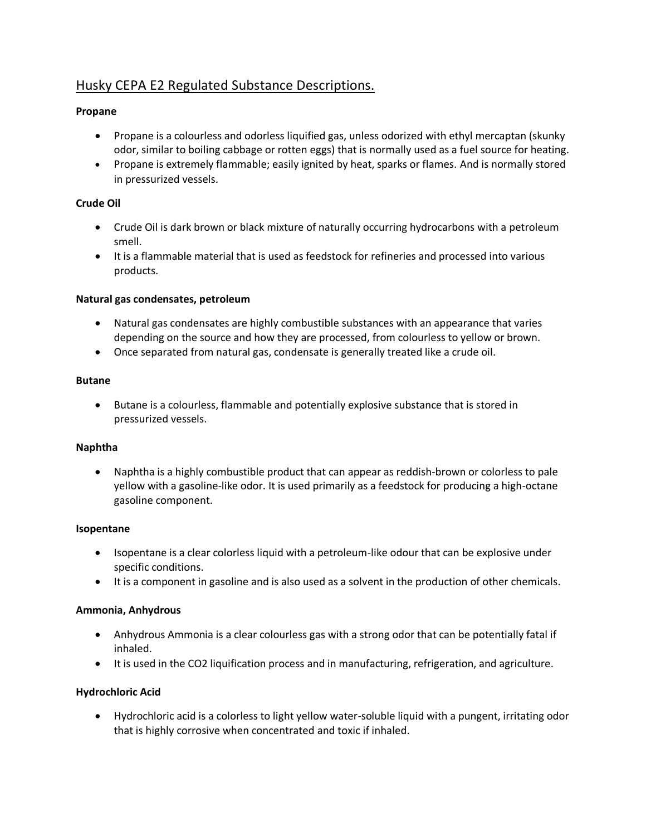# Husky CEPA E2 Regulated Substance Descriptions.

# **Propane**

- Propane is a colourless and odorless liquified gas, unless odorized with ethyl mercaptan (skunky odor, similar to boiling cabbage or rotten eggs) that is normally used as a fuel source for heating.
- Propane is extremely flammable; easily ignited by heat, sparks or flames. And is normally stored in pressurized vessels.

# **Crude Oil**

- Crude Oil is dark brown or black mixture of naturally occurring hydrocarbons with a petroleum smell.
- It is a flammable material that is used as feedstock for refineries and processed into various products.

#### **Natural gas condensates, petroleum**

- Natural gas condensates are highly combustible substances with an appearance that varies depending on the source and how they are processed, from colourless to yellow or brown.
- Once separated from natural gas, condensate is generally treated like a crude oil.

#### **Butane**

• Butane is a colourless, flammable and potentially explosive substance that is stored in pressurized vessels.

# **Naphtha**

• Naphtha is a highly combustible product that can appear as reddish-brown or colorless to pale yellow with a gasoline-like odor. It is used primarily as a feedstock for producing a high-octane gasoline component.

#### **Isopentane**

- Isopentane is a clear colorless liquid with a petroleum-like odour that can be explosive under specific conditions.
- It is a component in gasoline and is also used as a solvent in the production of other chemicals.

# **Ammonia, Anhydrous**

- Anhydrous Ammonia is a clear colourless gas with a strong odor that can be potentially fatal if inhaled.
- It is used in the CO2 liquification process and in manufacturing, refrigeration, and agriculture.

# **Hydrochloric Acid**

• Hydrochloric acid is a colorless to light yellow water-soluble liquid with a pungent, irritating odor that is highly corrosive when concentrated and toxic if inhaled.